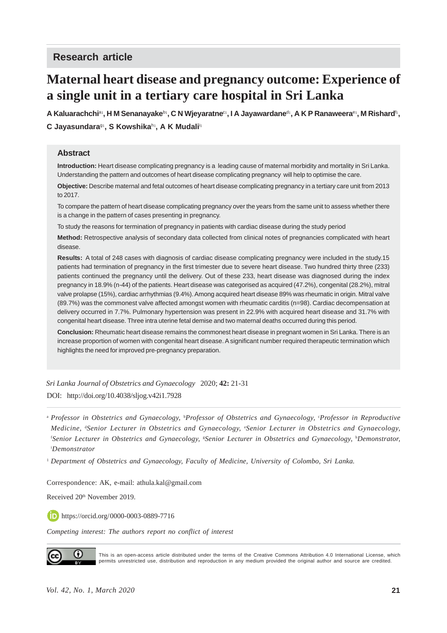# **Research article**

# **Maternal heart disease and pregnancy outcome: Experience of a single unit in a tertiary care hospital in Sri Lanka**

 $A$  Kaluarachchi<sup>a</sup>', H M Senanayake $^{\rm b_{1}},$  C N Wjeyaratne<sup>c</sup>', I A Jayawardane<sup>d</sup>', A K P Ranaweera<sup>e</sup>', M Rishard<sup>f</sup>', **C Jayasundara**<sup>g</sup><sup>1</sup> **, S Kowshika**<sup>h</sup><sup>1</sup> **, A K Mudali**<sup>i</sup><sup>1</sup>

#### **Abstract**

**Introduction:** Heart disease complicating pregnancy is a leading cause of maternal morbidity and mortality in Sri Lanka. Understanding the pattern and outcomes of heart disease complicating pregnancy will help to optimise the care.

**Objective:** Describe maternal and fetal outcomes of heart disease complicating pregnancy in a tertiary care unit from 2013 to 2017.

To compare the pattern of heart disease complicating pregnancy over the years from the same unit to assess whether there is a change in the pattern of cases presenting in pregnancy.

To study the reasons for termination of pregnancy in patients with cardiac disease during the study period

**Method:** Retrospective analysis of secondary data collected from clinical notes of pregnancies complicated with heart disease.

**Results:** A total of 248 cases with diagnosis of cardiac disease complicating pregnancy were included in the study.15 patients had termination of pregnancy in the first trimester due to severe heart disease. Two hundred thirty three (233) patients continued the pregnancy until the delivery. Out of these 233, heart disease was diagnosed during the index pregnancy in 18.9% (n-44) of the patients. Heart disease was categorised as acquired (47.2%), congenital (28.2%), mitral valve prolapse (15%), cardiac arrhythmias (9.4%). Among acquired heart disease 89% was rheumatic in origin. Mitral valve (89.7%) was the commonest valve affected amongst women with rheumatic carditis (n=98). Cardiac decompensation at delivery occurred in 7.7%. Pulmonary hypertension was present in 22.9% with acquired heart disease and 31.7% with congenital heart disease. Three intra uterine fetal demise and two maternal deaths occurred during this period.

**Conclusion:** Rheumatic heart disease remains the commonest heart disease in pregnant women in Sri Lanka. There is an increase proportion of women with congenital heart disease. A significant number required therapeutic termination which highlights the need for improved pre-pregnancy preparation.

*Sri Lanka Journal of Obstetrics and Gynaecology* 2020; **42:** 21-31 DOI: http://doi.org/10.4038/sljog.v42i1.7928

<sup>a</sup> Professor in Obstetrics and Gynaecology, <sup>b</sup>Professor of Obstetrics and Gynaecology, <sup>c</sup>Professor in Reproductive *Medicine,* <sup>d</sup> *Senior Lecturer in Obstetrics and Gynaecology,* <sup>e</sup> *Senior Lecturer in Obstetrics and Gynaecology,* f *Senior Lecturer in Obstetrics and Gynaecology,* <sup>g</sup> *Senior Lecturer in Obstetrics and Gynaecology,* <sup>h</sup> *Demonstrator,* i *Demonstrator*

<sup>1</sup> *Department of Obstetrics and Gynaecology, Faculty of Medicine, University of Colombo, Sri Lanka.*

Correspondence: AK, e-mail: athula.kal@gmail.com

Received 20<sup>th</sup> November 2019.

https://orcid.org/0000-0003-0889-7716

*Competing interest: The authors report no conflict of interest*



This is an open-access article distributed under the terms of the Creative Commons Attribution 4.0 International License, which permits unrestricted use, distribution and reproduction in any medium provided the original author and source are credited.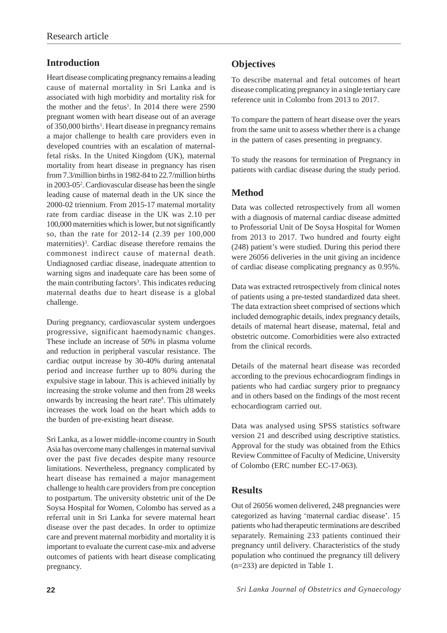# **Introduction**

Heart disease complicating pregnancy remains a leading cause of maternal mortality in Sri Lanka and is associated with high morbidity and mortality risk for the mother and the fetus<sup>1</sup>. In 2014 there were  $2590$ pregnant women with heart disease out of an average of 350,000 births<sup>1</sup>. Heart disease in pregnancy remains a major challenge to health care providers even in developed countries with an escalation of maternalfetal risks. In the United Kingdom (UK), maternal mortality from heart disease in pregnancy has risen from 7.3/million births in 1982-84 to 22.7/million births in 2003-052 . Cardiovascular disease has been the single leading cause of maternal death in the UK since the 2000-02 triennium. From 2015-17 maternal mortality rate from cardiac disease in the UK was 2.10 per 100,000 maternities which is lower, but not significantly so, than the rate for 2012-14 (2.39 per 100,000 maternities)<sup>3</sup>. Cardiac disease therefore remains the commonest indirect cause of maternal death. Undiagnosed cardiac disease, inadequate attention to warning signs and inadequate care has been some of the main contributing factors<sup>3</sup>. This indicates reducing maternal deaths due to heart disease is a global challenge.

During pregnancy, cardiovascular system undergoes progressive, significant haemodynamic changes. These include an increase of 50% in plasma volume and reduction in peripheral vascular resistance. The cardiac output increase by 30-40% during antenatal period and increase further up to 80% during the expulsive stage in labour. This is achieved initially by increasing the stroke volume and then from 28 weeks onwards by increasing the heart rate<sup>4</sup>. This ultimately increases the work load on the heart which adds to the burden of pre-existing heart disease.

Sri Lanka, as a lower middle-income country in South Asia has overcome many challenges in maternal survival over the past five decades despite many resource limitations. Nevertheless, pregnancy complicated by heart disease has remained a major management challenge to health care providers from pre conception to postpartum. The university obstetric unit of the De Soysa Hospital for Women, Colombo has served as a referral unit in Sri Lanka for severe maternal heart disease over the past decades. In order to optimize care and prevent maternal morbidity and mortality it is important to evaluate the current case-mix and adverse outcomes of patients with heart disease complicating pregnancy.

# **Objectives**

To describe maternal and fetal outcomes of heart disease complicating pregnancy in a single tertiary care reference unit in Colombo from 2013 to 2017.

To compare the pattern of heart disease over the years from the same unit to assess whether there is a change in the pattern of cases presenting in pregnancy.

To study the reasons for termination of Pregnancy in patients with cardiac disease during the study period.

## **Method**

Data was collected retrospectively from all women with a diagnosis of maternal cardiac disease admitted to Professorial Unit of De Soysa Hospital for Women from 2013 to 2017. Two hundred and fourty eight (248) patient's were studied. During this period there were 26056 deliveries in the unit giving an incidence of cardiac disease complicating pregnancy as 0.95%.

Data was extracted retrospectively from clinical notes of patients using a pre-tested standardized data sheet. The data extraction sheet comprised of sections which included demographic details, index pregnancy details, details of maternal heart disease, maternal, fetal and obstetric outcome. Comorbidities were also extracted from the clinical records.

Details of the maternal heart disease was recorded according to the previous echocardiogram findings in patients who had cardiac surgery prior to pregnancy and in others based on the findings of the most recent echocardiogram carried out.

Data was analysed using SPSS statistics software version 21 and described using descriptive statistics. Approval for the study was obtained from the Ethics Review Committee of Faculty of Medicine, University of Colombo (ERC number EC-17-063).

### **Results**

Out of 26056 women delivered, 248 pregnancies were categorized as having 'maternal cardiac disease'. 15 patients who had therapeutic terminations are described separately. Remaining 233 patients continued their pregnancy until delivery. Characteristics of the study population who continued the pregnancy till delivery (n=233) are depicted in Table 1.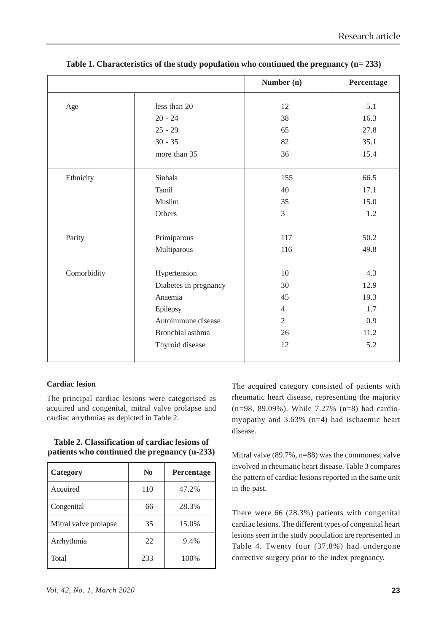|             |                       | Number (n)     | Percentage |
|-------------|-----------------------|----------------|------------|
| Age         | less than 20          | 12             | 5.1        |
|             | $20 - 24$             | 38             | 16.3       |
|             | $25 - 29$             | 65             | 27.8       |
|             | $30 - 35$             | 82             | 35.1       |
|             | more than 35          | 36             | 15.4       |
| Ethnicity   | Sinhala               | 155            | 66.5       |
|             | Tamil                 | 40             | 17.1       |
|             | Muslim                | 35             | 15.0       |
|             | Others                | $\overline{3}$ | 1.2        |
| Parity      | Primiparous           | 117            | 50.2       |
|             | Multiparous           | 116            | 49.8       |
| Comorbidity | Hypertension          | 10             | 4.3        |
|             | Diabetes in pregnancy | 30             | 12.9       |
|             | Anaemia               | 45             | 19.3       |
|             | Epilepsy              | $\overline{4}$ | 1.7        |
|             | Autoimmune disease    | $\overline{2}$ | 0.9        |
|             | Bronchial asthma      | 26             | 11.2       |
|             | Thyroid disease       | 12             | 5.2        |

**Table 1. Characteristics of the study population who continued the pregnancy (n= 233)**

#### **Cardiac lesion**

The principal cardiac lesions were categorised as acquired and congenital, mitral valve prolapse and cardiac arrythmias as depicted in Table 2.

|                                              | Table 2. Classification of cardiac lesions of |  |  |
|----------------------------------------------|-----------------------------------------------|--|--|
| patients who continued the pregnancy (n-233) |                                               |  |  |

| Category              | N <sub>0</sub> | <b>Percentage</b> |
|-----------------------|----------------|-------------------|
| Acquired              | 110            | 47.2%             |
| Congenital            | 66             | 28.3%             |
| Mitral valve prolapse | 35             | 15.0%             |
| Arrhythmia            | 22             | 9.4%              |
| Total                 | 233            | 100%              |

*Vol. 42, No. 1, March 2020* **23**

The acquired category consisted of patients with rheumatic heart disease, representing the majority (n=98, 89.09%). While 7.27% (n=8) had cardiomyopathy and 3.63% (n=4) had ischaemic heart disease.

Mitral valve (89.7%, n=88) was the commonest valve involved in rheumatic heart disease. Table 3 compares the pattern of cardiac lesions reported in the same unit in the past.

There were 66 (28.3%) patients with congenital cardiac lesions. The different types of congenital heart lesions seen in the study population are represented in Table 4. Twenty four (37.8%) had undergone corrective surgery prior to the index pregnancy.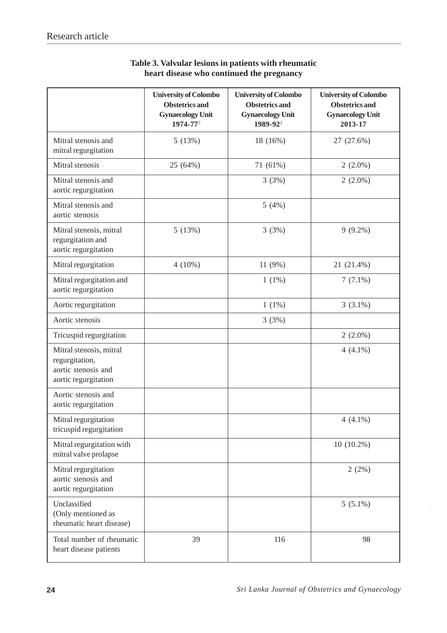|                                                                                          | <b>University of Colombo</b><br><b>Obstetrics and</b><br><b>Gynaecology Unit</b><br>1974-775 | <b>University of Colombo</b><br><b>Obstetrics and</b><br><b>Gynaecology Unit</b><br>1989-92 <sup>2</sup> | <b>University of Colombo</b><br><b>Obstetrics and</b><br><b>Gynaecology Unit</b><br>2013-17 |
|------------------------------------------------------------------------------------------|----------------------------------------------------------------------------------------------|----------------------------------------------------------------------------------------------------------|---------------------------------------------------------------------------------------------|
| Mitral stenosis and<br>mitral regurgitation                                              | 5(13%)                                                                                       | 18 (16%)                                                                                                 | 27 (27.6%)                                                                                  |
| Mitral stenosis                                                                          | 25 (64%)                                                                                     | 71 (61%)                                                                                                 | $2(2.0\%)$                                                                                  |
| Mitral stenosis and<br>aortic regurgitation                                              |                                                                                              | 3(3%)                                                                                                    | $2(2.0\%)$                                                                                  |
| Mitral stenosis and<br>aortic stenosis                                                   |                                                                                              | 5(4%)                                                                                                    |                                                                                             |
| Mitral stenosis, mitral<br>regurgitation and<br>aortic regurgitation                     | 5(13%)                                                                                       | 3(3%)                                                                                                    | $9(9.2\%)$                                                                                  |
| Mitral regurgitation                                                                     | $4(10\%)$                                                                                    | 11 (9%)                                                                                                  | 21 (21.4%)                                                                                  |
| Mitral regurgitation and<br>aortic regurgitation                                         |                                                                                              | $1(1\%)$                                                                                                 | $7(7.1\%)$                                                                                  |
| Aortic regurgitation                                                                     |                                                                                              | $1(1\%)$                                                                                                 | $3(3.1\%)$                                                                                  |
| Aortic stenosis                                                                          |                                                                                              | 3(3%)                                                                                                    |                                                                                             |
| Tricuspid regurgitation                                                                  |                                                                                              |                                                                                                          | $2(2.0\%)$                                                                                  |
| Mitral stenosis, mitral<br>regurgitation,<br>aortic stenosis and<br>aortic regurgitation |                                                                                              |                                                                                                          | $4(4.1\%)$                                                                                  |
| Aortic stenosis and<br>aortic regurgitation                                              |                                                                                              |                                                                                                          |                                                                                             |
| Mitral regurgitation<br>tricuspid regurgitation                                          |                                                                                              |                                                                                                          | $4(4.1\%)$                                                                                  |
| Mitral regurgitation with<br>mitral valve prolapse                                       |                                                                                              |                                                                                                          | $10(10.2\%)$                                                                                |
| Mitral regurgitation<br>aortic stenosis and<br>aortic regurgitation                      |                                                                                              |                                                                                                          | 2(2%)                                                                                       |
| Unclassified<br>(Only mentioned as<br>rheumatic heart disease)                           |                                                                                              |                                                                                                          | $5(5.1\%)$                                                                                  |
| Total number of rheumatic<br>heart disease patients                                      | 39                                                                                           | 116                                                                                                      | 98                                                                                          |

## **Table 3. Valvular lesions in patients with rheumatic heart disease who continued the pregnancy**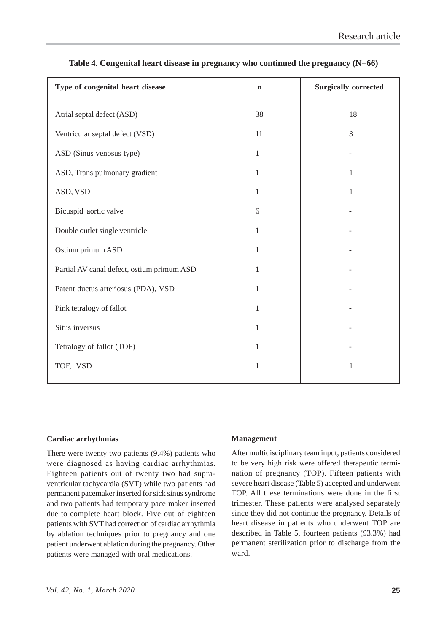| Type of congenital heart disease           | $\mathbf n$  | <b>Surgically corrected</b> |
|--------------------------------------------|--------------|-----------------------------|
| Atrial septal defect (ASD)                 | 38           | 18                          |
| Ventricular septal defect (VSD)            | 11           | 3                           |
| ASD (Sinus venosus type)                   | $\mathbf{1}$ |                             |
| ASD, Trans pulmonary gradient              | 1            | 1                           |
| ASD, VSD                                   | $\mathbf{1}$ | $\mathbf{1}$                |
| Bicuspid aortic valve                      | 6            |                             |
| Double outlet single ventricle             | $\mathbf{1}$ |                             |
| Ostium primum ASD                          | $\mathbf{1}$ |                             |
| Partial AV canal defect, ostium primum ASD | 1            |                             |
| Patent ductus arteriosus (PDA), VSD        | $\mathbf{1}$ |                             |
| Pink tetralogy of fallot                   | $\mathbf{1}$ |                             |
| Situs inversus                             | 1            |                             |
| Tetralogy of fallot (TOF)                  | $\mathbf{1}$ |                             |
| TOF, VSD                                   | $\mathbf{1}$ | $\mathbf{1}$                |
|                                            |              |                             |

### **Table 4. Congenital heart disease in pregnancy who continued the pregnancy (N=66)**

#### **Cardiac arrhythmias**

There were twenty two patients (9.4%) patients who were diagnosed as having cardiac arrhythmias. Eighteen patients out of twenty two had supraventricular tachycardia (SVT) while two patients had permanent pacemaker inserted for sick sinus syndrome and two patients had temporary pace maker inserted due to complete heart block. Five out of eighteen patients with SVT had correction of cardiac arrhythmia by ablation techniques prior to pregnancy and one patient underwent ablation during the pregnancy. Other patients were managed with oral medications.

#### **Management**

After multidisciplinary team input, patients considered to be very high risk were offered therapeutic termination of pregnancy (TOP). Fifteen patients with severe heart disease (Table 5) accepted and underwent TOP. All these terminations were done in the first trimester. These patients were analysed separately since they did not continue the pregnancy. Details of heart disease in patients who underwent TOP are described in Table 5, fourteen patients (93.3%) had permanent sterilization prior to discharge from the ward.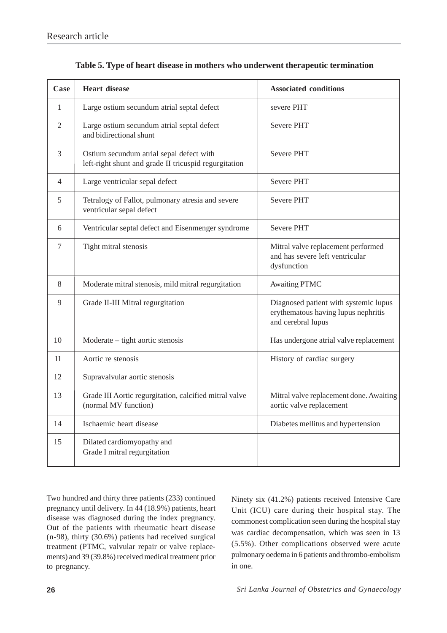| Case           | <b>Heart disease</b>                                                                              | <b>Associated conditions</b>                                                                       |
|----------------|---------------------------------------------------------------------------------------------------|----------------------------------------------------------------------------------------------------|
| 1              | Large ostium secundum atrial septal defect                                                        | severe PHT                                                                                         |
| $\overline{2}$ | Large ostium secundum atrial septal defect<br>and bidirectional shunt                             | <b>Severe PHT</b>                                                                                  |
| 3              | Ostium secundum atrial sepal defect with<br>left-right shunt and grade II tricuspid regurgitation | <b>Severe PHT</b>                                                                                  |
| $\overline{4}$ | Large ventricular sepal defect                                                                    | <b>Severe PHT</b>                                                                                  |
| 5              | Tetralogy of Fallot, pulmonary atresia and severe<br>ventricular sepal defect                     | Severe PHT                                                                                         |
| 6              | Ventricular septal defect and Eisenmenger syndrome                                                | <b>Severe PHT</b>                                                                                  |
| $\tau$         | Tight mitral stenosis                                                                             | Mitral valve replacement performed<br>and has severe left ventricular<br>dysfunction               |
| 8              | Moderate mitral stenosis, mild mitral regurgitation                                               | <b>Awaiting PTMC</b>                                                                               |
| 9              | Grade II-III Mitral regurgitation                                                                 | Diagnosed patient with systemic lupus<br>erythematous having lupus nephritis<br>and cerebral lupus |
| 10             | Moderate – tight aortic stenosis                                                                  | Has undergone atrial valve replacement                                                             |
| 11             | Aortic re stenosis                                                                                | History of cardiac surgery                                                                         |
| 12             | Supravalvular aortic stenosis                                                                     |                                                                                                    |
| 13             | Grade III Aortic regurgitation, calcified mitral valve<br>(normal MV function)                    | Mitral valve replacement done. Awaiting<br>aortic valve replacement                                |
| 14             | Ischaemic heart disease                                                                           | Diabetes mellitus and hypertension                                                                 |
| 15             | Dilated cardiomyopathy and<br>Grade I mitral regurgitation                                        |                                                                                                    |

|  |  |  | Table 5. Type of heart disease in mothers who underwent therapeutic termination |  |  |
|--|--|--|---------------------------------------------------------------------------------|--|--|
|  |  |  |                                                                                 |  |  |

Two hundred and thirty three patients (233) continued pregnancy until delivery. In 44 (18.9%) patients, heart disease was diagnosed during the index pregnancy. Out of the patients with rheumatic heart disease (n-98), thirty (30.6%) patients had received surgical treatment (PTMC, valvular repair or valve replacements) and 39 (39.8%) received medical treatment prior to pregnancy.

Ninety six (41.2%) patients received Intensive Care Unit (ICU) care during their hospital stay. The commonest complication seen during the hospital stay was cardiac decompensation, which was seen in 13 (5.5%). Other complications observed were acute pulmonary oedema in 6 patients and thrombo-embolism in one.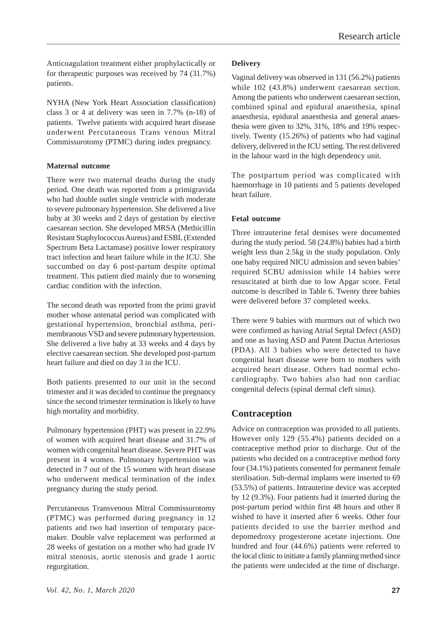Anticoagulation treatment either prophylactically or for therapeutic purposes was received by 74 (31.7%) patients.

NYHA (New York Heart Association classification) class 3 or 4 at delivery was seen in 7.7% (n-18) of patients. Twelve patients with acquired heart disease underwent Percutaneous Trans venous Mitral Commissurotomy (PTMC) during index pregnancy.

### **Maternal outcome**

There were two maternal deaths during the study period. One death was reported from a primigravida who had double outlet single ventricle with moderate to severe pulmonary hypertension. She delivered a live baby at 30 weeks and 2 days of gestation by elective caesarean section. She developed MRSA (Methicillin Resistant Staphylococcus Aureus) and ESBL (Extended Spectrum Beta Lactamase) positive lower respiratory tract infection and heart failure while in the ICU. She succumbed on day 6 post-partum despite optimal treatment. This patient died mainly due to worsening cardiac condition with the infection.

The second death was reported from the primi gravid mother whose antenatal period was complicated with gestational hypertension, bronchial asthma, perimembranous VSD and severe pulmonary hypertension. She delivered a live baby at 33 weeks and 4 days by elective caesarean section. She developed post-partum heart failure and died on day 3 in the ICU.

Both patients presented to our unit in the second trimester and it was decided to continue the pregnancy since the second trimester termination is likely to have high mortality and morbidity.

Pulmonary hypertension (PHT) was present in 22.9% of women with acquired heart disease and 31.7% of women with congenital heart disease. Severe PHT was present in 4 women. Pulmonary hypertension was detected in 7 out of the 15 women with heart disease who underwent medical termination of the index pregnancy during the study period.

Percutaneous Transvenous Mitral Commissurotomy (PTMC) was performed during pregnancy in 12 patients and two had insertion of temporary pacemaker. Double valve replacement was performed at 28 weeks of gestation on a mother who had grade IV mitral stenosis, aortic stenosis and grade I aortic regurgitation.

### **Delivery**

Vaginal delivery was observed in 131 (56.2%) patients while 102 (43.8%) underwent caesarean section. Among the patients who underwent caesarean section, combined spinal and epidural anaesthesia, spinal anaesthesia, epidural anaesthesia and general anaesthesia were given to 32%, 31%, 18% and 19% respectively. Twenty (15.26%) of patients who had vaginal delivery, delivered in the ICU setting. The rest delivered in the labour ward in the high dependency unit.

The postpartum period was complicated with haemorrhage in 10 patients and 5 patients developed heart failure.

#### **Fetal outcome**

Three intrauterine fetal demises were documented during the study period. 58 (24.8%) babies had a birth weight less than 2.5kg in the study population. Only one baby required NICU admission and seven babies' required SCBU admission while 14 babies were resuscitated at birth due to low Apgar score. Fetal outcome is described in Table 6. Twenty three babies were delivered before 37 completed weeks.

There were 9 babies with murmurs out of which two were confirmed as having Atrial Septal Defect (ASD) and one as having ASD and Patent Ductus Arteriosus (PDA). All 3 babies who were detected to have congenital heart disease were born to mothers with acquired heart disease. Others had normal echocardiography. Two babies also had non cardiac congenital defects (spinal dermal cleft sinus).

### **Contraception**

Advice on contraception was provided to all patients. However only 129 (55.4%) patients decided on a contraceptive method prior to discharge. Out of the patients who decided on a contraceptive method forty four (34.1%) patients consented for permanent female sterilisation. Sub-dermal implants were inserted to 69 (53.5%) of patients. Intrauterine device was accepted by 12 (9.3%). Four patients had it inserted during the post-partum period within first 48 hours and other 8 wished to have it inserted after 6 weeks. Other four patients decided to use the barrier method and depomedroxy progesterone acetate injections. One hundred and four (44.6%) patients were referred to the local clinic to initiate a family planning method since the patients were undecided at the time of discharge.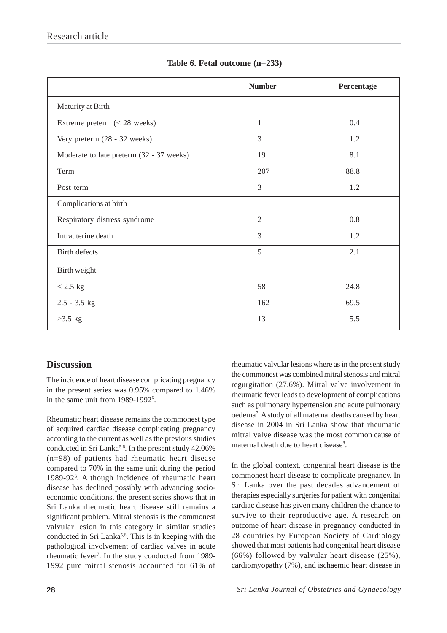|                                          | <b>Number</b>  | Percentage |  |
|------------------------------------------|----------------|------------|--|
| Maturity at Birth                        |                |            |  |
| Extreme preterm $(< 28$ weeks)           | 1              | 0.4        |  |
| Very preterm (28 - 32 weeks)             | 3              | 1.2        |  |
| Moderate to late preterm (32 - 37 weeks) | 19             | 8.1        |  |
| Term                                     | 207            | 88.8       |  |
| Post term                                | $\overline{3}$ | 1.2        |  |
| Complications at birth                   |                |            |  |
| Respiratory distress syndrome            | $\overline{2}$ | 0.8        |  |
| Intrauterine death                       | 3              | 1.2        |  |
| Birth defects                            | 5              | 2.1        |  |
| Birth weight                             |                |            |  |
| $< 2.5$ kg                               | 58             | 24.8       |  |
| $2.5 - 3.5$ kg                           | 162            | 69.5       |  |
| $>3.5$ kg                                | 13             | 5.5        |  |

### **Table 6. Fetal outcome (n=233)**

# **Discussion**

The incidence of heart disease complicating pregnancy in the present series was 0.95% compared to 1.46% in the same unit from 1989-1992<sup>6</sup>.

Rheumatic heart disease remains the commonest type of acquired cardiac disease complicating pregnancy according to the current as well as the previous studies conducted in Sri Lanka<sup>5,6</sup>. In the present study  $42.06\%$ (n=98) of patients had rheumatic heart disease compared to 70% in the same unit during the period 1989-926 . Although incidence of rheumatic heart disease has declined possibly with advancing socioeconomic conditions, the present series shows that in Sri Lanka rheumatic heart disease still remains a significant problem. Mitral stenosis is the commonest valvular lesion in this category in similar studies conducted in Sri Lanka<sup>5,6</sup>. This is in keeping with the pathological involvement of cardiac valves in acute rheumatic fever<sup>7</sup>. In the study conducted from 1989-1992 pure mitral stenosis accounted for 61% of

rheumatic valvular lesions where as in the present study the commonest was combined mitral stenosis and mitral regurgitation (27.6%). Mitral valve involvement in rheumatic fever leads to development of complications such as pulmonary hypertension and acute pulmonary oedema7 . A study of all maternal deaths caused by heart disease in 2004 in Sri Lanka show that rheumatic mitral valve disease was the most common cause of maternal death due to heart disease<sup>8</sup>.

In the global context, congenital heart disease is the commonest heart disease to complicate pregnancy. In Sri Lanka over the past decades advancement of therapies especially surgeries for patient with congenital cardiac disease has given many children the chance to survive to their reproductive age. A research on outcome of heart disease in pregnancy conducted in 28 countries by European Society of Cardiology showed that most patients had congenital heart disease (66%) followed by valvular heart disease (25%), cardiomyopathy (7%), and ischaemic heart disease in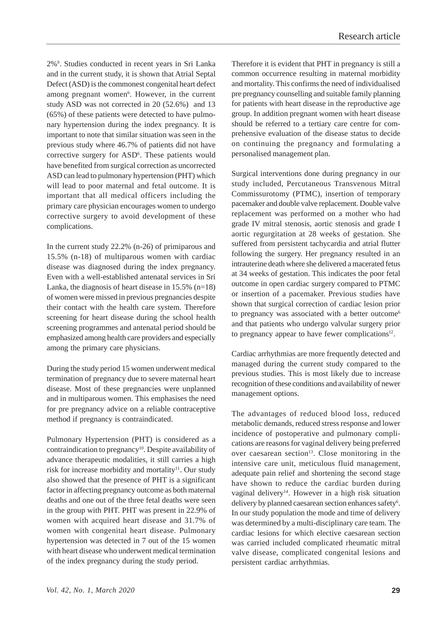2%9 . Studies conducted in recent years in Sri Lanka and in the current study, it is shown that Atrial Septal Defect (ASD) is the commonest congenital heart defect among pregnant women<sup>6</sup>. However, in the current study ASD was not corrected in 20 (52.6%) and 13 (65%) of these patients were detected to have pulmonary hypertension during the index pregnancy. It is important to note that similar situation was seen in the previous study where 46.7% of patients did not have corrective surgery for ASD<sup>6</sup>. These patients would have benefited from surgical correction as uncorrected ASD can lead to pulmonary hypertension (PHT) which will lead to poor maternal and fetal outcome. It is important that all medical officers including the primary care physician encourages women to undergo corrective surgery to avoid development of these complications.

In the current study 22.2% (n-26) of primiparous and 15.5% (n-18) of multiparous women with cardiac disease was diagnosed during the index pregnancy. Even with a well-established antenatal services in Sri Lanka, the diagnosis of heart disease in  $15.5\%$  (n=18) of women were missed in previous pregnancies despite their contact with the health care system. Therefore screening for heart disease during the school health screening programmes and antenatal period should be emphasized among health care providers and especially among the primary care physicians.

During the study period 15 women underwent medical termination of pregnancy due to severe maternal heart disease. Most of these pregnancies were unplanned and in multiparous women. This emphasises the need for pre pregnancy advice on a reliable contraceptive method if pregnancy is contraindicated.

Pulmonary Hypertension (PHT) is considered as a contraindication to pregnancy<sup>10</sup>. Despite availability of advance therapeutic modalities, it still carries a high risk for increase morbidity and mortality<sup>11</sup>. Our study also showed that the presence of PHT is a significant factor in affecting pregnancy outcome as both maternal deaths and one out of the three fetal deaths were seen in the group with PHT. PHT was present in 22.9% of women with acquired heart disease and 31.7% of women with congenital heart disease. Pulmonary hypertension was detected in 7 out of the 15 women with heart disease who underwent medical termination of the index pregnancy during the study period.

Therefore it is evident that PHT in pregnancy is still a common occurrence resulting in maternal morbidity and mortality. This confirms the need of individualised pre pregnancy counselling and suitable family planning for patients with heart disease in the reproductive age group. In addition pregnant women with heart disease should be referred to a tertiary care centre for comprehensive evaluation of the disease status to decide on continuing the pregnancy and formulating a personalised management plan.

Surgical interventions done during pregnancy in our study included, Percutaneous Transvenous Mitral Commissurotomy (PTMC), insertion of temporary pacemaker and double valve replacement. Double valve replacement was performed on a mother who had grade IV mitral stenosis, aortic stenosis and grade I aortic regurgitation at 28 weeks of gestation. She suffered from persistent tachycardia and atrial flutter following the surgery. Her pregnancy resulted in an intrauterine death where she delivered a macerated fetus at 34 weeks of gestation. This indicates the poor fetal outcome in open cardiac surgery compared to PTMC or insertion of a pacemaker. Previous studies have shown that surgical correction of cardiac lesion prior to pregnancy was associated with a better outcome<sup>6</sup> and that patients who undergo valvular surgery prior to pregnancy appear to have fewer complications $12$ .

Cardiac arrhythmias are more frequently detected and managed during the current study compared to the previous studies. This is most likely due to increase recognition of these conditions and availability of newer management options.

The advantages of reduced blood loss, reduced metabolic demands, reduced stress response and lower incidence of postoperative and pulmonary complications are reasons for vaginal delivery being preferred over caesarean section<sup>13</sup>. Close monitoring in the intensive care unit, meticulous fluid management, adequate pain relief and shortening the second stage have shown to reduce the cardiac burden during vaginal delivery<sup>14</sup>. However in a high risk situation delivery by planned caesarean section enhances safety<sup>6</sup>. In our study population the mode and time of delivery was determined by a multi-disciplinary care team. The cardiac lesions for which elective caesarean section was carried included complicated rheumatic mitral valve disease, complicated congenital lesions and persistent cardiac arrhythmias.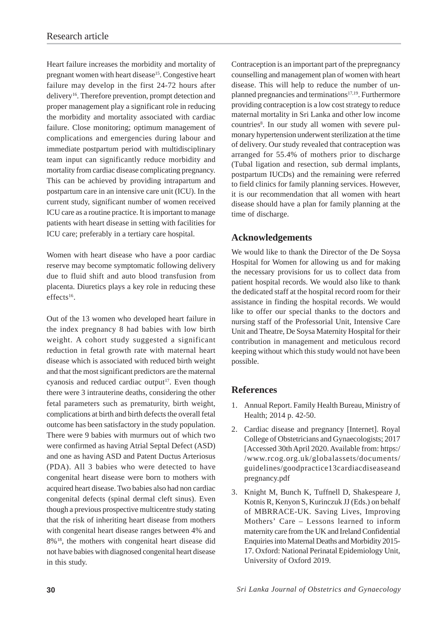Heart failure increases the morbidity and mortality of pregnant women with heart disease<sup>15</sup>. Congestive heart failure may develop in the first 24-72 hours after delivery16. Therefore prevention, prompt detection and proper management play a significant role in reducing the morbidity and mortality associated with cardiac failure. Close monitoring; optimum management of complications and emergencies during labour and immediate postpartum period with multidisciplinary team input can significantly reduce morbidity and mortality from cardiac disease complicating pregnancy. This can be achieved by providing intrapartum and postpartum care in an intensive care unit (ICU). In the current study, significant number of women received ICU care as a routine practice. It is important to manage patients with heart disease in setting with facilities for ICU care; preferably in a tertiary care hospital.

Women with heart disease who have a poor cardiac reserve may become symptomatic following delivery due to fluid shift and auto blood transfusion from placenta. Diuretics plays a key role in reducing these effects<sup>16</sup>.

Out of the 13 women who developed heart failure in the index pregnancy 8 had babies with low birth weight. A cohort study suggested a significant reduction in fetal growth rate with maternal heart disease which is associated with reduced birth weight and that the most significant predictors are the maternal cyanosis and reduced cardiac output<sup>17</sup>. Even though there were 3 intrauterine deaths, considering the other fetal parameters such as prematurity, birth weight, complications at birth and birth defects the overall fetal outcome has been satisfactory in the study population. There were 9 babies with murmurs out of which two were confirmed as having Atrial Septal Defect (ASD) and one as having ASD and Patent Ductus Arteriosus (PDA). All 3 babies who were detected to have congenital heart disease were born to mothers with acquired heart disease. Two babies also had non cardiac congenital defects (spinal dermal cleft sinus). Even though a previous prospective multicentre study stating that the risk of inheriting heart disease from mothers with congenital heart disease ranges between 4% and 8%18, the mothers with congenital heart disease did not have babies with diagnosed congenital heart disease in this study.

Contraception is an important part of the prepregnancy counselling and management plan of women with heart disease. This will help to reduce the number of unplanned pregnancies and terminations<sup>17,19</sup>. Furthermore providing contraception is a low cost strategy to reduce maternal mortality in Sri Lanka and other low income countries<sup>8</sup>. In our study all women with severe pulmonary hypertension underwent sterilization at the time of delivery. Our study revealed that contraception was arranged for 55.4% of mothers prior to discharge (Tubal ligation and resection, sub dermal implants, postpartum IUCDs) and the remaining were referred to field clinics for family planning services. However, it is our recommendation that all women with heart disease should have a plan for family planning at the time of discharge.

## **Acknowledgements**

We would like to thank the Director of the De Soysa Hospital for Women for allowing us and for making the necessary provisions for us to collect data from patient hospital records. We would also like to thank the dedicated staff at the hospital record room for their assistance in finding the hospital records. We would like to offer our special thanks to the doctors and nursing staff of the Professorial Unit, Intensive Care Unit and Theatre, De Soysa Maternity Hospital for their contribution in management and meticulous record keeping without which this study would not have been possible.

# **References**

- 1. Annual Report. Family Health Bureau, Ministry of Health; 2014 p. 42-50.
- 2. Cardiac disease and pregnancy [Internet]. Royal College of Obstetricians and Gynaecologists; 2017 [Accessed 30th April 2020. Available from: https:/ /www.rcog.org.uk/globalassets/documents/ guidelines/goodpractice13cardiacdiseaseand pregnancy.pdf
- 3. Knight M, Bunch K, Tuffnell D, Shakespeare J, Kotnis R, Kenyon S, Kurinczuk JJ (Eds.) on behalf of MBRRACE-UK. Saving Lives, Improving Mothers' Care – Lessons learned to inform maternity care from the UK and Ireland Confidential Enquiries into Maternal Deaths and Morbidity 2015- 17. Oxford: National Perinatal Epidemiology Unit, University of Oxford 2019.